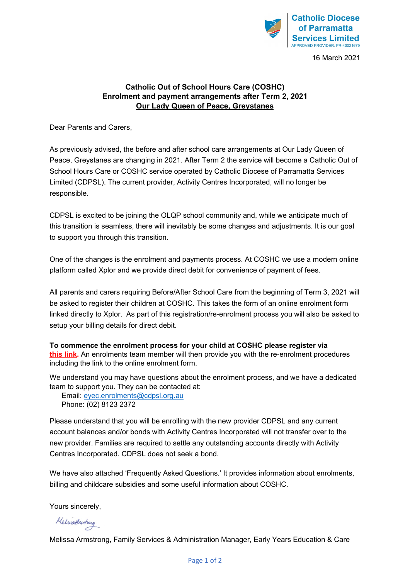

16 March 2021

#### **Catholic Out of School Hours Care (COSHC) Enrolment and payment arrangements after Term 2, 2021 Our Lady Queen of Peace, Greystanes**

Dear Parents and Carers,

As previously advised, the before and after school care arrangements at Our Lady Queen of Peace, Greystanes are changing in 2021. After Term 2 the service will become a Catholic Out of School Hours Care or COSHC service operated by Catholic Diocese of Parramatta Services Limited (CDPSL). The current provider, Activity Centres Incorporated, will no longer be responsible.

CDPSL is excited to be joining the OLQP school community and, while we anticipate much of this transition is seamless, there will inevitably be some changes and adjustments. It is our goal to support you through this transition.

One of the changes is the enrolment and payments process. At COSHC we use a modern online platform called Xplor and we provide direct debit for convenience of payment of fees.

All parents and carers requiring Before/After School Care from the beginning of Term 3, 2021 will be asked to register their children at COSHC. This takes the form of an online enrolment form linked directly to Xplor. As part of this registration/re-enrolment process you will also be asked to setup your billing details for direct debit.

**To commence the enrolment process for your child at COSHC please register via [this link.](https://live.childcarecrm.com.au/portal/waitList.php?formId=c3961322d06310818dd799c462aa3971&webForm=a502c5c4-ea82-454d-bf6d-388fd39c7708)** An enrolments team member will then provide you with the re-enrolment procedures including the link to the online enrolment form.

We understand you may have questions about the enrolment process, and we have a dedicated team to support you. They can be contacted at:

 Email: [eyec.enrolments@cdpsl.org.au](mailto:eyec.enrolments@cdpsl.org.au) Phone: (02) 8123 2372

Please understand that you will be enrolling with the new provider CDPSL and any current account balances and/or bonds with Activity Centres Incorporated will not transfer over to the new provider. Families are required to settle any outstanding accounts directly with Activity Centres Incorporated. CDPSL does not seek a bond.

We have also attached 'Frequently Asked Questions.' It provides information about enrolments, billing and childcare subsidies and some useful information about COSHC.

Yours sincerely,

Melinathustrang

Melissa Armstrong, Family Services & Administration Manager, Early Years Education & Care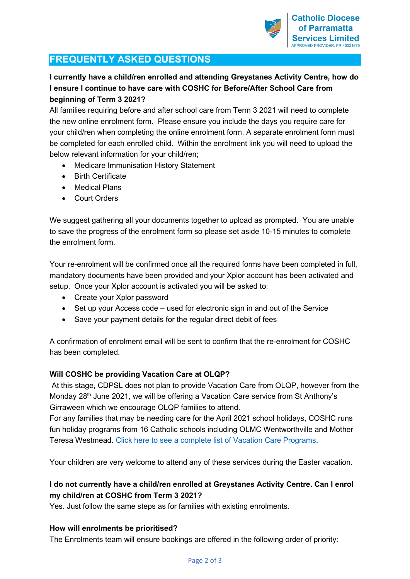# **FREQUENTLY ASKED QUESTIONS**

## **I currently have a child/ren enrolled and attending Greystanes Activity Centre, how do I ensure I continue to have care with COSHC for Before/After School Care from beginning of Term 3 2021?**

All families requiring before and after school care from Term 3 2021 will need to complete the new online enrolment form. Please ensure you include the days you require care for your child/ren when completing the online enrolment form. A separate enrolment form must be completed for each enrolled child. Within the enrolment link you will need to upload the below relevant information for your child/ren;

- Medicare Immunisation History Statement
- Birth Certificate
- Medical Plans
- **Court Orders**

We suggest gathering all your documents together to upload as prompted. You are unable to save the progress of the enrolment form so please set aside 10-15 minutes to complete the enrolment form.

Your re-enrolment will be confirmed once all the required forms have been completed in full, mandatory documents have been provided and your Xplor account has been activated and setup. Once your Xplor account is activated you will be asked to:

- Create your Xplor password
- Set up your Access code used for electronic sign in and out of the Service
- Save your payment details for the regular direct debit of fees

A confirmation of enrolment email will be sent to confirm that the re-enrolment for COSHC has been completed.

## **Will COSHC be providing Vacation Care at OLQP?**

At this stage, CDPSL does not plan to provide Vacation Care from OLQP, however from the Monday  $28<sup>th</sup>$  June 2021, we will be offering a Vacation Care service from St Anthony's Girraween which we encourage OLQP families to attend.

For any families that may be needing care for the April 2021 school holidays, COSHC runs fun holiday programs from 16 Catholic schools including OLMC Wentworthville and Mother Teresa Westmead. [Click here to see a complete list of Vacation Care Programs.](https://parracatholic.org/cdpsl/#Vacation)

Your children are very welcome to attend any of these services during the Easter vacation.

## **I do not currently have a child/ren enrolled at Greystanes Activity Centre. Can I enrol my child/ren at COSHC from Term 3 2021?**

Yes. Just follow the same steps as for families with existing enrolments.

## **How will enrolments be prioritised?**

The Enrolments team will ensure bookings are offered in the following order of priority: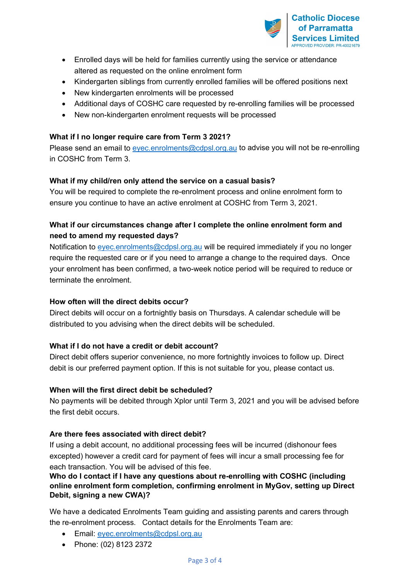

- Enrolled days will be held for families currently using the service or attendance altered as requested on the online enrolment form
- Kindergarten siblings from currently enrolled families will be offered positions next
- New kindergarten enrolments will be processed
- Additional days of COSHC care requested by re-enrolling families will be processed
- New non-kindergarten enrolment requests will be processed

### **What if I no longer require care from Term 3 2021?**

Please send an email to [eyec.enrolments@cdpsl.org.au](mailto:eyec.enrolments@cdpsl.org.au) to advise you will not be re-enrolling in COSHC from Term 3.

### **What if my child/ren only attend the service on a casual basis?**

You will be required to complete the re-enrolment process and online enrolment form to ensure you continue to have an active enrolment at COSHC from Term 3, 2021.

## **What if our circumstances change after I complete the online enrolment form and need to amend my requested days?**

Notification to [eyec.enrolments@cdpsl.org.au](mailto:eyec.enrolments@cdpsl.org.au) will be required immediately if you no longer require the requested care or if you need to arrange a change to the required days. Once your enrolment has been confirmed, a two-week notice period will be required to reduce or terminate the enrolment.

#### **How often will the direct debits occur?**

Direct debits will occur on a fortnightly basis on Thursdays. A calendar schedule will be distributed to you advising when the direct debits will be scheduled.

## **What if I do not have a credit or debit account?**

Direct debit offers superior convenience, no more fortnightly invoices to follow up. Direct debit is our preferred payment option. If this is not suitable for you, please contact us.

#### **When will the first direct debit be scheduled?**

No payments will be debited through Xplor until Term 3, 2021 and you will be advised before the first debit occurs.

#### **Are there fees associated with direct debit?**

If using a debit account, no additional processing fees will be incurred (dishonour fees excepted) however a credit card for payment of fees will incur a small processing fee for each transaction. You will be advised of this fee.

### **Who do I contact if I have any questions about re-enrolling with COSHC (including online enrolment form completion, confirming enrolment in MyGov, setting up Direct Debit, signing a new CWA)?**

We have a dedicated Enrolments Team guiding and assisting parents and carers through the re-enrolment process. Contact details for the Enrolments Team are:

- Email: [eyec.enrolments@cdpsl.org.au](mailto:eyec.enrolments@cdpsl.org.au)
- Phone: (02) 8123 2372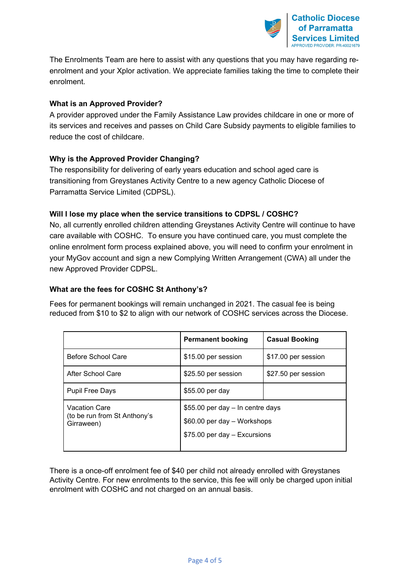

[The Enrolments Team are here to assist with any questions that you may have regarding re](https://www.parra.catholic.edu.au/Our-Schools/Catholic-Out-of-School-Hours-Care)[enrolment and your Xplor activation. We appreciate families taking the time to complete their](https://www.parra.catholic.edu.au/Our-Schools/Catholic-Out-of-School-Hours-Care)  [enrolment.](https://www.parra.catholic.edu.au/Our-Schools/Catholic-Out-of-School-Hours-Care)

### **What is an Approved Provider?**

A provider approved under the Family Assistance Law provides childcare in one or more of its services and receives and passes on Child Care Subsidy payments to eligible families to reduce the cost of childcare.

### **Why is the Approved Provider Changing?**

The responsibility for delivering of early years education and school aged care is transitioning from Greystanes Activity Centre to a new agency Catholic Diocese of Parramatta Service Limited (CDPSL).

#### **Will I lose my place when the service transitions to CDPSL / COSHC?**

No, all currently enrolled children attending Greystanes Activity Centre will continue to have care available with COSHC. To ensure you have continued care, you must complete the online enrolment form process explained above, you will need to confirm your enrolment in your MyGov account and sign a new Complying Written Arrangement (CWA) all under the new Approved Provider CDPSL.

#### **What are the fees for COSHC St Anthony's?**

Fees for permanent bookings will remain unchanged in 2021. The casual fee is being reduced from \$10 to \$2 to align with our network of COSHC services across the Diocese.

|                                                                    | <b>Permanent booking</b>                                                                        | <b>Casual Booking</b> |
|--------------------------------------------------------------------|-------------------------------------------------------------------------------------------------|-----------------------|
| Before School Care                                                 | \$15.00 per session                                                                             | \$17.00 per session   |
| After School Care                                                  | \$25.50 per session                                                                             | \$27.50 per session   |
| <b>Pupil Free Days</b>                                             | \$55.00 per day                                                                                 |                       |
| <b>Vacation Care</b><br>(to be run from St Anthony's<br>Girraween) | \$55.00 per day - In centre days<br>\$60.00 per day - Workshops<br>\$75.00 per day - Excursions |                       |

There is a once-off enrolment fee of \$40 per child not already enrolled with Greystanes Activity Centre. For new enrolments to the service, this fee will only be charged upon initial enrolment with COSHC and not charged on an annual basis.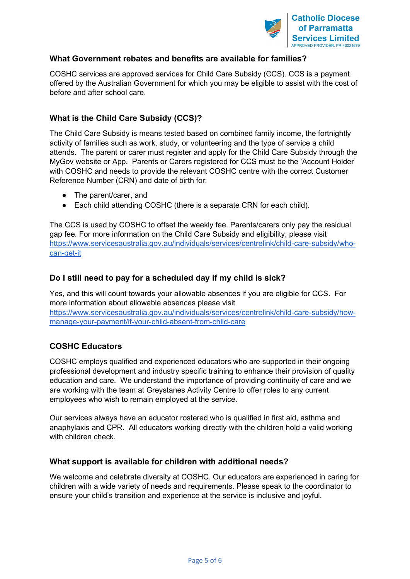

## **What Government rebates and benefits are available for families?**

COSHC services are approved services for Child Care Subsidy (CCS). CCS is a payment offered by the Australian Government for which you may be eligible to assist with the cost of before and after school care.

## **What is the Child Care Subsidy (CCS)?**

The Child Care Subsidy is means tested based on combined family income, the fortnightly activity of families such as work, study, or volunteering and the type of service a child attends. The parent or carer must register and apply for the Child Care Subsidy through the MyGov website or App. Parents or Carers registered for CCS must be the 'Account Holder' with COSHC and needs to provide the relevant COSHC centre with the correct Customer Reference Number (CRN) and date of birth for:

- The parent/carer, and
- Each child attending COSHC (there is a separate CRN for each child).

The CCS is used by COSHC to offset the weekly fee. Parents/carers only pay the residual gap fee. For more information on the Child Care Subsidy and eligibility, please visit [https://www.servicesaustralia.gov.au/individuals/services/centrelink/child-care-subsidy/who](https://www.servicesaustralia.gov.au/individuals/services/centrelink/child-care-subsidy/who-can-get-it)[can-get-it](https://www.servicesaustralia.gov.au/individuals/services/centrelink/child-care-subsidy/who-can-get-it)

### **Do I still need to pay for a scheduled day if my child is sick?**

Yes, and this will count towards your allowable absences if you are eligible for CCS. For more information about allowable absences please visit [https://www.servicesaustralia.gov.au/individuals/services/centrelink/child-care-subsidy/how](https://www.servicesaustralia.gov.au/individuals/services/centrelink/child-care-subsidy/how-manage-your-payment/if-your-child-absent-from-child-care)[manage-your-payment/if-your-child-absent-from-child-care](https://www.servicesaustralia.gov.au/individuals/services/centrelink/child-care-subsidy/how-manage-your-payment/if-your-child-absent-from-child-care)

## **COSHC Educators**

COSHC employs qualified and experienced educators who are supported in their ongoing professional development and industry specific training to enhance their provision of quality education and care. We understand the importance of providing continuity of care and we are working with the team at Greystanes Activity Centre to offer roles to any current employees who wish to remain employed at the service.

Our services always have an educator rostered who is qualified in first aid, asthma and anaphylaxis and CPR. All educators working directly with the children hold a valid working with children check.

#### **What support is available for children with additional needs?**

We welcome and celebrate diversity at COSHC. Our educators are experienced in caring for children with a wide variety of needs and requirements. Please speak to the coordinator to ensure your child's transition and experience at the service is inclusive and joyful.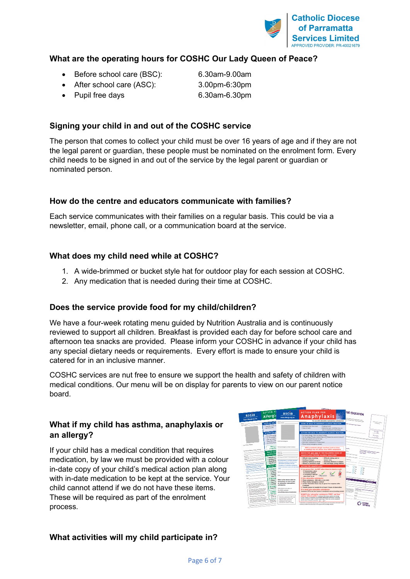

## **What are the operating hours for COSHC Our Lady Queen of Peace?**

• Before school care (BSC): 6.30am-9.00am

• After school care (ASC): 3.00pm-6:30pm

• Pupil free days 6.30am-6.30pm

## **Signing your child in and out of the COSHC service**

The person that comes to collect your child must be over 16 years of age and if they are not the legal parent or guardian, these people must be nominated on the enrolment form. Every child needs to be signed in and out of the service by the legal parent or guardian or nominated person.

## **How do the centre and educators communicate with families?**

Each service communicates with their families on a regular basis. This could be via a newsletter, email, phone call, or a communication board at the service.

## **What does my child need while at COSHC?**

- 1. A wide-brimmed or bucket style hat for outdoor play for each session at COSHC.
- 2. Any medication that is needed during their time at COSHC.

## **Does the service provide food for my child/children?**

We have a four-week rotating menu guided by Nutrition Australia and is continuously reviewed to support all children. Breakfast is provided each day for before school care and afternoon tea snacks are provided. Please inform your COSHC in advance if your child has any special dietary needs or requirements. Every effort is made to ensure your child is catered for in an inclusive manner.

COSHC services are nut free to ensure we support the health and safety of children with medical conditions. Our menu will be on display for parents to view on our parent notice board.

## **What if my child has asthma, anaphylaxis or an allergy?**

If your child has a medical condition that requires medication, by law we must be provided with a colour in-date copy of your child's medical action plan along with in-date medication to be kept at the service. Your child cannot attend if we do not have these items. These will be required as part of the enrolment process.



## **What activities will my child participate in?**